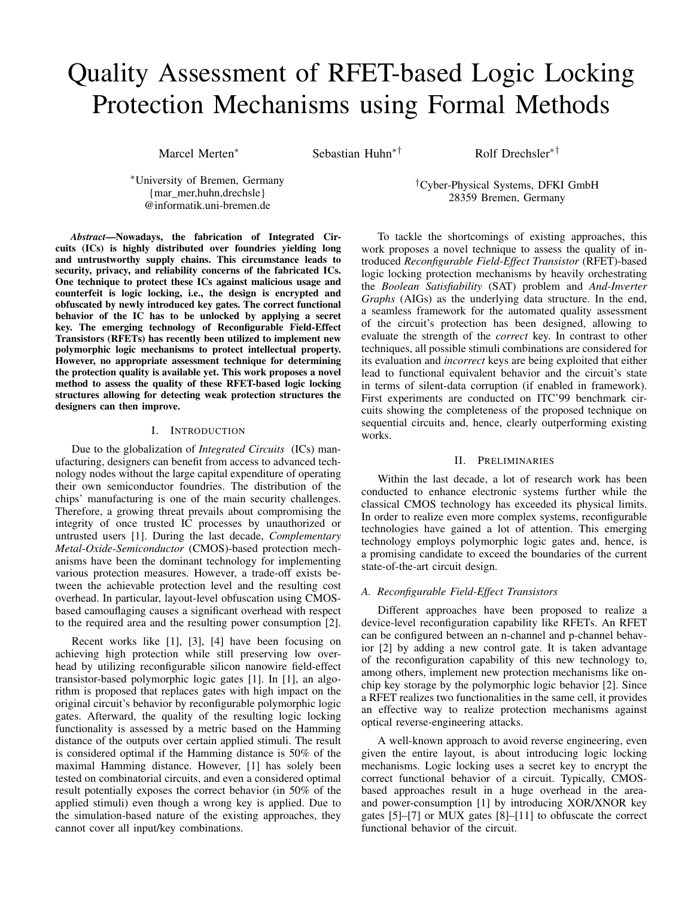# Quality Assessment of RFET-based Logic Locking Protection Mechanisms using Formal Methods

Marcel Merten<sup>∗</sup> Sebastian Huhn<sup>∗†</sup> Rolf Drechsler<sup>∗†</sup>

<sup>∗</sup>University of Bremen, Germany {mar\_mer,huhn,drechsle} @informatik.uni-bremen.de

†Cyber-Physical Systems, DFKI GmbH 28359 Bremen, Germany

*Abstract*—Nowadays, the fabrication of Integrated Circuits (ICs) is highly distributed over foundries yielding long and untrustworthy supply chains. This circumstance leads to security, privacy, and reliability concerns of the fabricated ICs. One technique to protect these ICs against malicious usage and counterfeit is logic locking, i.e., the design is encrypted and obfuscated by newly introduced key gates. The correct functional behavior of the IC has to be unlocked by applying a secret key. The emerging technology of Reconfigurable Field-Effect Transistors (RFETs) has recently been utilized to implement new polymorphic logic mechanisms to protect intellectual property. However, no appropriate assessment technique for determining the protection quality is available yet. This work proposes a novel method to assess the quality of these RFET-based logic locking structures allowing for detecting weak protection structures the designers can then improve.

## I. INTRODUCTION

Due to the globalization of *Integrated Circuits* (ICs) manufacturing, designers can benefit from access to advanced technology nodes without the large capital expenditure of operating their own semiconductor foundries. The distribution of the chips' manufacturing is one of the main security challenges. Therefore, a growing threat prevails about compromising the integrity of once trusted IC processes by unauthorized or untrusted users [1]. During the last decade, *Complementary Metal-Oxide-Semiconductor* (CMOS)-based protection mechanisms have been the dominant technology for implementing various protection measures. However, a trade-off exists between the achievable protection level and the resulting cost overhead. In particular, layout-level obfuscation using CMOSbased camouflaging causes a significant overhead with respect to the required area and the resulting power consumption [2].

Recent works like [1], [3], [4] have been focusing on achieving high protection while still preserving low overhead by utilizing reconfigurable silicon nanowire field-effect transistor-based polymorphic logic gates [1]. In [1], an algorithm is proposed that replaces gates with high impact on the original circuit's behavior by reconfigurable polymorphic logic gates. Afterward, the quality of the resulting logic locking functionality is assessed by a metric based on the Hamming distance of the outputs over certain applied stimuli. The result is considered optimal if the Hamming distance is 50% of the maximal Hamming distance. However, [1] has solely been tested on combinatorial circuits, and even a considered optimal result potentially exposes the correct behavior (in 50% of the applied stimuli) even though a wrong key is applied. Due to the simulation-based nature of the existing approaches, they cannot cover all input/key combinations.

To tackle the shortcomings of existing approaches, this work proposes a novel technique to assess the quality of introduced *Reconfigurable Field-Effect Transistor* (RFET)-based logic locking protection mechanisms by heavily orchestrating the *Boolean Satisfiability* (SAT) problem and *And-Inverter Graphs* (AIGs) as the underlying data structure. In the end, a seamless framework for the automated quality assessment of the circuit's protection has been designed, allowing to evaluate the strength of the *correct* key. In contrast to other techniques, all possible stimuli combinations are considered for its evaluation and *incorrect* keys are being exploited that either lead to functional equivalent behavior and the circuit's state in terms of silent-data corruption (if enabled in framework). First experiments are conducted on ITC'99 benchmark circuits showing the completeness of the proposed technique on sequential circuits and, hence, clearly outperforming existing works.

### II. PRELIMINARIES

Within the last decade, a lot of research work has been conducted to enhance electronic systems further while the classical CMOS technology has exceeded its physical limits. In order to realize even more complex systems, reconfigurable technologies have gained a lot of attention. This emerging technology employs polymorphic logic gates and, hence, is a promising candidate to exceed the boundaries of the current state-of-the-art circuit design.

#### *A. Reconfigurable Field-Effect Transistors*

Different approaches have been proposed to realize a device-level reconfiguration capability like RFETs. An RFET can be configured between an n-channel and p-channel behavior [2] by adding a new control gate. It is taken advantage of the reconfiguration capability of this new technology to, among others, implement new protection mechanisms like onchip key storage by the polymorphic logic behavior [2]. Since a RFET realizes two functionalities in the same cell, it provides an effective way to realize protection mechanisms against optical reverse-engineering attacks.

A well-known approach to avoid reverse engineering, even given the entire layout, is about introducing logic locking mechanisms. Logic locking uses a secret key to encrypt the correct functional behavior of a circuit. Typically, CMOSbased approaches result in a huge overhead in the areaand power-consumption [1] by introducing XOR/XNOR key gates [5]–[7] or MUX gates [8]–[11] to obfuscate the correct functional behavior of the circuit.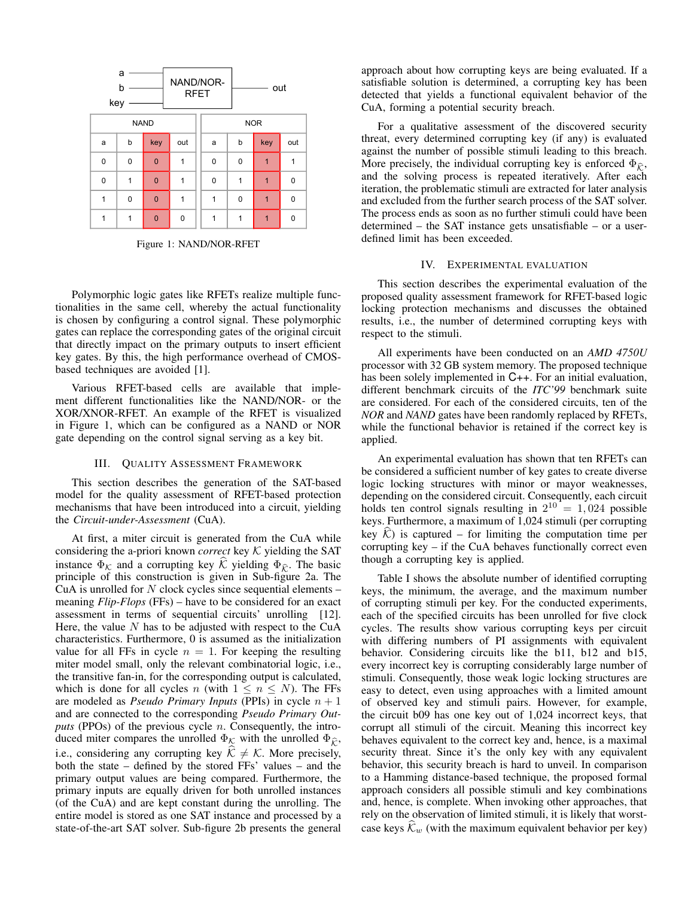

Figure 1: NAND/NOR-RFET

Polymorphic logic gates like RFETs realize multiple functionalities in the same cell, whereby the actual functionality is chosen by configuring a control signal. These polymorphic gates can replace the corresponding gates of the original circuit that directly impact on the primary outputs to insert efficient key gates. By this, the high performance overhead of CMOSbased techniques are avoided [1].

Various RFET-based cells are available that implement different functionalities like the NAND/NOR- or the XOR/XNOR-RFET. An example of the RFET is visualized in Figure 1, which can be configured as a NAND or NOR gate depending on the control signal serving as a key bit.

#### III. QUALITY ASSESSMENT FRAMEWORK

This section describes the generation of the SAT-based model for the quality assessment of RFET-based protection mechanisms that have been introduced into a circuit, yielding the *Circuit-under-Assessment* (CuA).

At first, a miter circuit is generated from the CuA while considering the a-priori known *correct* key K yielding the SAT instance  $\Phi_K$  and a corrupting key K yielding  $\Phi_{\hat{K}}$ . The basic principle of this construction is given in Sub-figure 2a. The CuA is unrolled for *N* clock cycles since sequential elements – meaning *Flip-Flops* (FFs) – have to be considered for an exact assessment in terms of sequential circuits' unrolling [12]. Here, the value *N* has to be adjusted with respect to the CuA characteristics. Furthermore, 0 is assumed as the initialization value for all FFs in cycle  $n = 1$ . For keeping the resulting miter model small, only the relevant combinatorial logic, i.e., the transitive fan-in, for the corresponding output is calculated, which is done for all cycles *n* (with  $1 \leq n \leq N$ ). The FFs are modeled as *Pseudo Primary Inputs* (PPIs) in cycle *n* + 1 and are connected to the corresponding *Pseudo Primary Outputs* (PPOs) of the previous cycle *n*. Consequently, the introduced miter compares the unrolled  $\Phi_K$  with the unrolled  $\Phi_{\widehat{K}}$ , i.e., considering any corrupting key  $\widehat{\mathcal{K}} \neq \mathcal{K}$ . More precisely, both the state – defined by the stored FFs' values – and the primary output values are being compared. Furthermore, the primary inputs are equally driven for both unrolled instances (of the CuA) and are kept constant during the unrolling. The entire model is stored as one SAT instance and processed by a state-of-the-art SAT solver. Sub-figure 2b presents the general

approach about how corrupting keys are being evaluated. If a satisfiable solution is determined, a corrupting key has been detected that yields a functional equivalent behavior of the CuA, forming a potential security breach.

For a qualitative assessment of the discovered security threat, every determined corrupting key (if any) is evaluated against the number of possible stimuli leading to this breach. More precisely, the individual corrupting key is enforced  $\Phi_{\hat{r}}$ , and the solving process is repeated iteratively. After each iteration, the problematic stimuli are extracted for later analysis and excluded from the further search process of the SAT solver. The process ends as soon as no further stimuli could have been determined – the SAT instance gets unsatisfiable – or a userdefined limit has been exceeded.

#### IV. EXPERIMENTAL EVALUATION

This section describes the experimental evaluation of the proposed quality assessment framework for RFET-based logic locking protection mechanisms and discusses the obtained results, i.e., the number of determined corrupting keys with respect to the stimuli.

All experiments have been conducted on an *AMD 4750U* processor with 32 GB system memory. The proposed technique has been solely implemented in C++. For an initial evaluation, different benchmark circuits of the *ITC'99* benchmark suite are considered. For each of the considered circuits, ten of the *NOR* and *NAND* gates have been randomly replaced by RFETs, while the functional behavior is retained if the correct key is applied.

An experimental evaluation has shown that ten RFETs can be considered a sufficient number of key gates to create diverse logic locking structures with minor or mayor weaknesses, depending on the considered circuit. Consequently, each circuit holds ten control signals resulting in  $2^{10} = 1,024$  possible keys. Furthermore, a maximum of 1,024 stimuli (per corrupting key  $K$ ) is captured – for limiting the computation time per corrupting key – if the CuA behaves functionally correct even though a corrupting key is applied.

Table I shows the absolute number of identified corrupting keys, the minimum, the average, and the maximum number of corrupting stimuli per key. For the conducted experiments, each of the specified circuits has been unrolled for five clock cycles. The results show various corrupting keys per circuit with differing numbers of PI assignments with equivalent behavior. Considering circuits like the b11, b12 and b15, every incorrect key is corrupting considerably large number of stimuli. Consequently, those weak logic locking structures are easy to detect, even using approaches with a limited amount of observed key and stimuli pairs. However, for example, the circuit b09 has one key out of 1,024 incorrect keys, that corrupt all stimuli of the circuit. Meaning this incorrect key behaves equivalent to the correct key and, hence, is a maximal security threat. Since it's the only key with any equivalent behavior, this security breach is hard to unveil. In comparison to a Hamming distance-based technique, the proposed formal approach considers all possible stimuli and key combinations and, hence, is complete. When invoking other approaches, that rely on the observation of limited stimuli, it is likely that worstcase keys  $\mathcal{K}_w$  (with the maximum equivalent behavior per key)